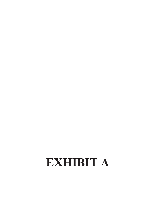# EXHIBIT A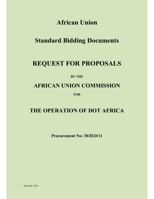# **African Union**

# **Standard Bidding Documents**

## **REQUEST FOR PROPOSALS**

### **BY THE**

### **AFRICAN UNION COMMISSION**

**FOR**

### **THE OPERATION OF DOT AFRICA**

**Procurement No: 30/IED/11**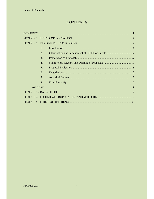### **CONTENTS**

| $\mathbf{1}$     |  |
|------------------|--|
| 2.               |  |
| 3.               |  |
| $\overline{4}$ . |  |
| 5.               |  |
| 6.               |  |
| 7.               |  |
| 8.               |  |
|                  |  |
|                  |  |
|                  |  |
|                  |  |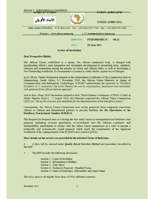| Section 2. Information to Consultants<br>VI <i>a</i> in jiha                                                                                                       | TINITONI JEDICI JINIR<br><i>TIEEATERI</i> TALE <i>ATIEIE</i>           |  |  |  |
|--------------------------------------------------------------------------------------------------------------------------------------------------------------------|------------------------------------------------------------------------|--|--|--|
| الاتحاد الأفريقي                                                                                                                                                   | <b>UNLÃO AFRICANA</b>                                                  |  |  |  |
| Addis Ababa, ETHIOPIA P. O. Box 3243 Tel: +251 (0)11-551 7700 Fax: +251 (0)11-551 0430<br>e- $\boxtimes$ :dadmin@africa-union.org<br>Website: www.africa-union.org |                                                                        |  |  |  |
|                                                                                                                                                                    | Reference:<br>PTSD/PRO/HU/3/<br>/06.11<br><b>28 June 2011</b><br>Date: |  |  |  |

#### **Letter of Invitation**

#### **Dear Prospective Bidder,**

The African Union, established as a unique Pan African continental body, is charged with spearheading Africa's rapid integration and sustainable development by promoting unity, solidarity, cohesion and cooperation among the peoples of Africa and African States as well as developing a New Partnership worldwide. Its Headquarters is located in Addis Ababa, capital city of Ethiopia

In its Olivier Tambo Declaration adopted at the extraordinary Conference of the Commission held in Johannesburg, South Africa, 2-5 November 2009, the African Union Ministers in charge of Communication and Information Technologies (CITMC) acknowledge the necessity to "Establish DotAfrica as a continental Top-Level Domain for use by organizations, businesses and individuals with guidance from African Internet agencies"

And in their Abuja 2010 Declaration adopted at their Third Ordinary Conference (CITMC-3) held in Abuja, Nigeria, from  $6 - 7$  August 2010, the Ministers requested the African Union Commission (AUC) to ''Set up the structure and modalities for the Implementation of the DotAfrica project.''

Consequently, the African Union Commission now invites proposals from competent consortium African or African and International partners to provide Services for the Operations of the Dotafrica, Procurement Number 30/IED/11.

This Request for Proposal aims at selecting the best entity based on management and business case proposal, including revenue generation, re-investment into the African continent, and sustainability mechanism to partner with the Africa Union commission in a view to present a technically and economically sound proposal which meets the requirements of the Applicant Guidebook of the coming launch of the ICANN's new round of gTLDs.

#### More details on the services are provided in the attached Terms of Reference.

A firm will be selected under *Quality Based Selection Method* and procedures described in  $4.$ this RFP.

 $5<sub>1</sub>$ The RFP includes the following documents:

> Section 1 - Letter of Invitation Section 2 - Information to Bidders Section 3 - Data Sheet **Section 4 - Technical Proposal - Standard Forms** Section 5- Terms of Reference, Deliverables and Time Frame

The bid is open to all eligible firms from AU/UN affiliated countries.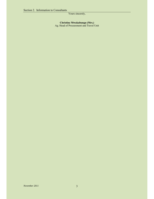#### Yours sincerely,

#### **Christine Mwakabungu (Mrs.)**

Ag. Head of Procurement and Travel Unit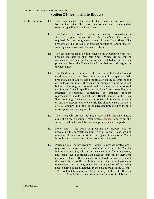#### **Section 2 Information to Bidders**

- **1. Introduction** 1.1 The Client named in the Data Sheet will select a firm from those listed in the Letter of Invitation, in accordance with the method of selection specified in the Data Sheet.
	- 1.2 The bidders are invited to submit a Technical Proposal and a financial proposal, as specified in the Data Sheet for services required for the assignment named in the Data Sheet. The proposal will be the basis for contract negotiations and ultimately for a signed contract with the selected firm.
	- 1.3 The assignment shall be implemented in accordance with any phasing indicated in the Data Sheet. When the assignment includes several phases, the performance of bidder under each phase must be to the Client's satisfaction before work begins on the next phase.
	- 1.4 The Bidders must familiarise themselves with local (African) conditions and take them into account in preparing their proposals. To obtain firsthand information on the assignment and on the local conditions, Bidders are encouraged to visit the Client before submitting a proposal and to attend a pre-proposal conference if one is specified in the Data Sheet. Attending any specified pre-proposal conference is optional. Bidders representative should contact the officials named in the Data Sheet to arrange for their visit or to obtain additional information on any pre-proposal conference. Bidders should ensure that these officials are advised of the visit in adequate time to allow them to make appropriate arrangements.
	- 1.5 The Client will provide the inputs specified in the Data Sheet, assist the firm in obtaining requirements needed to carry out the services, and make available relevant project data and reports.
	- 1.6 Note that: (i) the costs of preparing the proposal and of negotiating the contract, including a visit to the Client, are not reimbursable as a direct cost of the assignment; and (ii) the Client is not bound to accept any of the proposals submitted.
	- 1.7 African Union policy requires Bidders to provide professional, objective, and impartial advice, and at all times hold the Client's interests paramount, without any consideration for future work, and strictly avoid conflicts with other assignments or their own corporate interests. Bidders shall not be hired for any assignment that would be in conflict with their prior or current obligations to other clients, or that may place them in a position of not being able to carry out the assignment in the best interests of the Client.
		- 1.7.1 Without limitation on the generality of this rule, Bidders shall not be hired under the circumstances set forth below: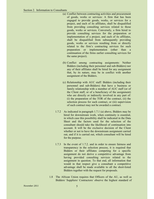- (a) Conflict between contracting activities and procurement of goods, works or services: A firm that has been engaged to provide goods, works, or services for a project, and each of its affiliates, shall be disqualified from providing consulting services related to those goods, works or services. Conversely, a firm hired to provide consulting services for the preparation or implementation of a project, and each of its affiliates, shall be disqualified from subsequently providing goods, works or services resulting from or directly related to the firm's contracting services for such preparation or implementation (other than a continuation of the firms earlier consulting services for the same project).
- (b) Conflict among contracting assignments: Neither Bidders (including their personnel and sub-Bidders) nor any of their affiliates shall be hired for any assignment that, by its nature, may be in conflict with another assignment of the Bidders.
- (c) Relationship with AUC staff: Bidders (including their personnel and sub-Bidders) that have a business or family relationship with a member of AUC staff (or of the Client staff, or of a beneficiary of the assignment) who are directly or indirectly involved in any part of: (i) the preparation of the TOR of the contract, (ii) the selection process for such contract, or (iii) supervision of such contract may not be awarded a contract.
- 1.7.2 As indicated in paragraph 1.7.1 (a) above, Bidders may be hired for downstream work, when continuity is essential, in which case this possibility shall be indicated in the Data Sheet and the factors used for the selection of the consultant should take the likelihood of continuation into account. It will be the exclusive decision of the Client whether or not to have the downstream assignment carried out, and if it is carried out, which consultant will be hired for the purpose.
- 1.7.3 In the event of 1.7.2. and in order to ensure fairness and transparency in the selection process, it is required that Bidders or their affiliates competing for a specific assignment do not derive a competitive advantage from having provided consulting services related to the assignment in question. To that end, all information that would in that respect give a consultant a competitive advantage shall be made available to all the short-listed Bidders together with the request for proposals.
- 1.8 The African Union requires that Officers of the AU, as well as Bidders/ Suppliers/ Contractors/ observe the highest standard of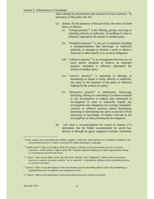ethics during the procurement and execution of such contracts.<sup>1</sup> In pursuance of this policy the AU:

- (a) defines, for the purposes of this provision, the terms set forth below as follows:
	- (i) "corrupt practice"<sup>2</sup> is the offering, giving, receiving or soliciting, directly or indirectly, of anything of value to influence improperly the actions of another party;
	- (ii) "fraudulent practice"<sup>3</sup> is any act or omission including a misrepresentation that knowingly or recklessly misleads, or attempts to mislead, a party to obtain a financial or other benefit or to avoid an obligation;
	- (iii) "collusive practice"<sup>4</sup> is an arrangement between two or more parties designed to achieve an improper purpose, including to influence improperly the actions of another party;
	- (iv) "coercive practice"<sup>5</sup> is impairing or harming or threatening to impair or harm, directly or indirectly, any party or the property of the party to influence improperly the actions of a party;
	- (v) "obstructive practice" is deliberately destroying, falsifying, altering or concealing of evidence material to any investigation or making false statements to investigators in order to materially impede any investigation into allegations of a corrupt, fraudulent, coercive or collusive practice; and/or threatening, harassing or intimidating any party to prevent it from disclosing its knowledge of matters relevant to the investigation or from pursuing the investigation;
- (b) will reject a recommendation for award of contract if it determines that the bidder recommended for award has, directly or through an agent, engaged in corrupt, fraudulent,

<sup>4</sup> *"parties" refers to any participants in the procurement process (including officers of the AU) attempting to establish bid prices at artificial, non competitive levels.*

<sup>&</sup>lt;sup>1</sup> In this context, any action taken by a bidder, supplier, contractor, sub-contractor or consultant to influence the *procurement process or contract execution for undue advantage is improper.*

<sup>2</sup> *"another party" refers to an officer of the AU acting in relation to the procurement process or contract execution. In this context, "officer of the AU" includes staff and employees of other organisations taking or reviewing procurement decisions.*

<sup>3</sup> *a "party" refers to any officer of the AU; the terms "benefit" and "obligation" relate to the procurement process or contract execution; and the "act or omission" is intended to influence the procurement process or contract execution.*

<sup>5</sup> *a "party" refers to any participant in the procurement process or contract execution.*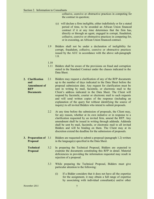collusive, coercive or obstructive practices in competing for the contract in question;

- (c) will declare a firm ineligible, either indefinitely or for a stated period of time, to be awarded an African Union financed contract if it at any time determines that the firm has, directly or through an agent, engaged in corrupt, fraudulent, collusive, coercive or obstructive practices in competing for, or in executing, an African Union financed contract.
- 1.9 Bidders shall not be under a declaration of ineligibility for corrupt, fraudulent, collusive, coercive or obstructive practices issued by the AUC in accordance with the above sub-paragraph 1.8.
- 1.10
- 1.11 Bidders shall be aware of the provisions on fraud and corruption stated in the Standard Contract under the clauses indicated in the Data Sheet.
- **2. Clarification and Amendment of RFP Documents** 2.1 Bidders may request a clarification of any of the RFP documents up to the number of days indicated in the Data Sheet before the proposal submission date. Any request for clarification must be sent in writing by mail, facsimile, or electronic mail to the Client's address indicated in the Data Sheet. The Client will respond by facsimile, courier or electronic mail to such requests and will send written copies of the response (including an explanation of the query but without identifying the source of inquiry) to all invited Bidders who intend to submit proposals.
	- 2.2 At any time before the submission of proposals, the Client may, for any reason, whether at its own initiative or in response to a clarification requested by an invited firm, amend the RFP. Any amendment shall be issued in writing through addenda. Addenda shall be sent by mail, facsimile, or electronic mail to all invited Bidders and will be binding on them. The Client may at its discretion extend the deadline for the submission of proposals.
- **3. Preparation of Proposal** Bidders are requested to submit a proposal (paragraph 1.2) written in the language(s) specified in the Data Sheet.
	- **Technical Proposal** 3.2 In preparing the Technical Proposal, Bidders are expected to examine the documents constituting this RFP in detail. Material deficiencies in providing the information requested may result in rejection of a proposal.
		- 3.3 While preparing the Technical Proposal, Bidders must give particular attention to the following:
			- (i) If a Bidder considers that it does not have all the expertise for the assignment, it may obtain a full range of expertise by associating with individual consultant(s) and/or other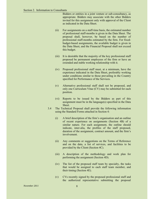Bidders or entities in a joint venture or sub-consultancy, as appropriate. Bidders may associate with the other Bidders invited for this assignment only with approval of the Client as indicated in the Data Sheet.

- (ii) For assignments on a staff-time basis, the estimated number of professional staff-months is given in the Data Sheet. The proposal shall, however, be based on the number of professional staff-months estimated by the firm. For fixedbudget-based assignments, the available budget is given in the Data Sheet, and the Financial Proposal shall not exceed this budget.
- (iii) It is desirable that the majority of the key professional staff proposed be permanent employees of the firm or have an extended and stable working relationship with it.
- (iv) Proposed professional staff must, at a minimum, have the experience indicated in the Data Sheet, preferably working under conditions similar to those prevailing in the Country specified for Performance of the Services.
- (v) Alternative professional staff shall not be proposed, and only one Curriculum Vitae (CV) may be submitted for each position.
- (vi) Reports to be issued by the Bidders as part of this assignment must be in the language(s) specified in the Data Sheet.
- 3.4 The Technical Proposal shall provide the following information using the Standard Forms attached in Section 4:
	- (i) A brief description of the firm's organisation and an outline of recent experience on assignments (Section 4B) of a similar nature. For each assignment, the outline should indicate, inter-alia, the profiles of the staff proposed, duration of the assignment, contract amount, and the firm's involvement.
	- (ii) Any comments or suggestions on the Terms of Reference and on the data, a list of services, and facilities to be provided by the Client (Section 4C).
	- (iii) A description of the methodology and work plan for performing the assignment (Section 4D).
	- (iv) The list of the proposed staff team by specialty, the tasks that would be assigned to each staff team member, and their timing (Section 4E).
	- (v) CVs recently signed by the proposed professional staff and the authorized representative submitting the proposal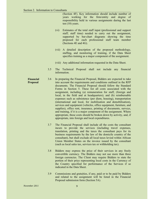(Section 4F). Key information should include number of years working for the firm/entity and degree of responsibility held in various assignments during the last ten (10) years.

- (vi) Estimates of the total staff input (professional and support staff; staff time) needed to carry out the assignment, supported by bar-chart diagrams showing the time proposed for each professional staff team member (Sections 4E and 4G).
- (vii) A detailed description of the proposed methodology, staffing, and monitoring of training, if the Data Sheet specifies training as a major component of the assignment.
- (viii) Any additional information requested in the Data Sheet.
- 3.5 The Technical Proposal shall not include any financial information.
- **Financial Proposal** 3.6 In preparing the Financial Proposal, Bidders are expected to take into account the requirements and conditions outlined in the RFP documents. The Financial Proposal should follow the Standard Forms in Section 5. These list all costs associated with the assignment, including (a) remuneration for staff, (foreign and local, in the field and at headquarters); and (b) reimbursable expenses such as subsistence (per diem, housing), transportation (international and local, for mobilisation and demobilisation), services and equipment (vehicles, office equipment, furniture, and supplies), office rent, insurance, printing of documents, surveys, and training, if it is a major component of the assignment. Where appropriate, these costs should be broken down by activity, and, if appropriate, into foreign and local expenditures.
	- 3.7 The Financial Proposal shall include all the costs the consultant incurs to provide the services (including travel expenses, translation, printing and the taxes the consultant pays for its business requirements by the law of the domicile country of the consultant), but shall exclude all local taxes levied within African Union Member States on the invoice issued by the consultant (such as local sales tax, services tax or withholding tax).
	- 3.8 Bidders may express the price of their services in any freely convertible currency. The Bidders may not use more than three foreign currencies. The Client may require Bidders to state the portion of their price representing local costs in the Currency of the Country specified for performance of the Services if so indicated in the Data Sheet.
	- 3.9 Commissions and gratuities, if any, paid or to be paid by Bidders and related to the assignment will be listed in the Financial Proposal submission form (Section 5A).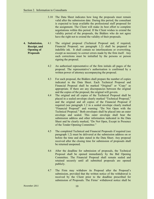- 3.10 The Data Sheet indicates how long the proposals must remain valid after the submission date. During this period, the consultant is expected to keep available the professional staff proposed for the assignment. The Client will make its best effort to complete negotiations within this period. If the Client wishes to extend the validity period of the proposals, the Bidders who do not agree have the right not to extend the validity of their proposals.
- **4. Submission, Receipt, and Opening of Proposals** 4.1 The original proposal (Technical Proposal and, if required, Financial Proposal; see paragraph 1.2) shall be prepared in indelible ink. It shall contain no interlineations or overwriting, except as necessary to correct errors made by the firm itself. Any such corrections must be initialled by the persons or person signing the proposal.
	- 4.2 An authorised representative of the firm initials all pages of the proposal. The representative's authorisation is confirmed by a written power of attorney accompanying the proposal.
	- 4.3 For each proposal, the Bidders shall prepare the number of copies indicated in the Data Sheet. Each Technical Proposal and Financial Proposal shall be marked "Original" or "Copy" as appropriate. If there are any discrepancies between the original and the copies of the proposal, the original will govern.
	- 4.4 The original and all copies of the Technical Proposal shall be placed in a sealed envelope clearly marked "Technical Proposal," and the original and all copies of the Financial Proposal if required (see paragraph 1.2 in a sealed envelope clearly marked "Financial Proposal" and warning: "Do Not Open with the Technical Proposal." Both envelopes shall be placed into an outer envelope and sealed. This outer envelope shall bear the submission address and other information indicated in the Data Sheet and be clearly marked, "Do Not Open, Except in Presence of the Tender Opening Committee."
	- 4.5 The completed Technical and Financial Proposals if required (see paragraph 1.2) must be delivered at the submission address on or before the time and date stated in the Data Sheet. Any proposal received after the closing time for submission of proposals shall be returned unopened.
	- 4.6 After the deadline for submission of proposals, the Technical Proposal shall be opened immediately by the Bid Opening Committee. The Financial Proposal shall remain sealed and retained securely until all submitted proposals are opened publicly.
	- 4.7 The Firm may withdraw its Proposal after the Proposal's submission, provided that the written notice of the withdrawal is received by the Client prior to the deadline prescribed for submission of Proposals. The Firms' withdrawal notice shall be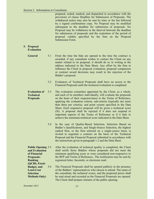prepared, sealed, marked, and dispatched in accordance with the provisions of clause Deadline for Submission of Proposals. The withdrawal notice may also be sent by telex or fax but followed by a signed confirmation copy. No Proposal may be modified subsequent to the deadline for submission of proposals. No Proposal may be withdrawn in the Interval between the deadline for submission of proposals and the expiration of the period of proposal validity specified by the firm on the Proposal Submission Form.

#### **5. Proposal Evaluation**

- **General** 5.1 From the time the bids are opened to the time the contract is awarded, if any consultant wishes to contact the Client on any matter related to its proposal, it should do so in writing at the address indicated in the Data Sheet. Any effort by the firm to influence the Client in proposal evaluation, proposal comparison or contract award decisions may result in the rejection of the Bidder's proposal.
	- 5.2 Evaluators of Technical Proposals shall have no access to the Financial Proposals until the technical evaluation is completed.
- **Evaluation of Technical Proposals** 5.3 The evaluation committee appointed by the Client, as a whole, and each of its members individually, will evaluate the proposals on the basis of their responsiveness to the Terms of Reference, applying the evaluation criteria, sub-criteria (typically not more than three per criteria), and point system specified in the Data Sheet. Each responsive proposal will be given a technical score (St). A proposal shall be rejected if it does not respond to important aspects of the Terms of Reference or if it fails to achieve the minimum technical score indicated in the Data Sheet.
	- 5.4 In the case of Quality-Based Selection, Selection Based on Bidder's Qualifications, and Single-Source Selection, the highest ranked firm, or the firm selected on a single-source basis, is invited to negotiate a contract on the basis of the Technical Proposal and the Financial Proposal submitted in accordance with the instructions given in paragraph 1.2 and the Data Sheet.

**Public Opening and Evaluation of Financial Proposals: Ranking (QCBS, Fixed-**After the evaluation of technical quality is completed, the Client shall notify those Bidders whose proposals did not meet the minimum qualifying score or were considered non-responsive to the RFP and Terms of Reference,. The notification may be sent by registered letter, facsimile, or electronic mail.

**Budget, and Least-Cost Selection Methods Only)**  5.6 The Financial Proposals shall be opened publicly in the presence of the Bidders' representatives who choose to attend. The name of the consultant, the technical scores, and the proposed prices shall be read aloud and recorded as the Financial Proposals are opened. The Client shall prepare minutes of the public opening.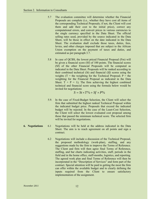- 5.7 The evaluation committee will determine whether the Financial Proposals are complete (i.e., whether they have cost all items of the corresponding Technical Proposals; if not, the Client will cost them and add their cost to the initial price), correct any computational errors, and convert prices in various currencies to the single currency specified in the Data Sheet. The official selling rates used, provided by the source indicated in the Data Sheet, will be those in effect on the date indicated in the Data Sheet. The evaluation shall exclude those taxes, duties, fees, levies, and other charges imposed that are subject to the African Union exemption on the payment of taxes and duties, and estimated as per paragraph 3.7.
- 5.8 In case of QCBS*,* the lowest priced Financial Proposal (Fm) will be given a financial score (Sf) of 100 points. The financial scores (Sf) of the other Financial Proposals will be computed as indicated in the Data Sheet. Proposals will be ranked according to their combined technical (*St*) and financial (*Sf*) scores using the weights ( $T =$  the weighting for the Technical Proposal;  $P =$  the weighting for the Financial Proposal as indicated in the Data Sheet.  $T + P = 1$ ; The firm achieving the highest combined technical and financial score using the formula below would be invited for negotiations

$$
S = St \times T\% + Sf \times P\%
$$

- 5.9. In the case of Fixed-Budget Selection, the Client will select the firm that submitted the highest ranked Technical Proposal within the indicated budget price. Proposals that exceed the indicated budget will be rejected. In the case of the Least-Cost Selection, the Client will select the lowest evaluated cost proposal among those that passed the minimum technical score. The selected firm will be invited for negotiations.
- **6. Negotiations** 6.1 Negotiations will be held at the address indicated in the Data Sheet. The aim is to reach agreement on all points and sign a contract.
	- 6.2 Negotiations will include a discussion of the Technical Proposal, the proposed methodology (work-plan), staffing, and any suggestions made by the firm to improve the Terms of Reference. The Client and firm will then agree final Terms of Reference, staffing, and bar charts indicating activities, staff, periods in the field and in the home office, staff-months, logistics, and reporting. The agreed work plan and final Terms of Reference will then be incorporated in the "Description of Services" and form part of the contract. Special attention will be paid to getting the most the firm can offer within the available budget and to clearly defining the inputs required from the Client to ensure satisfactory implementation of the assignment.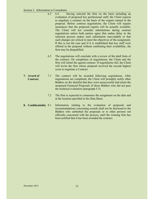#### Section 2. Information to Consultants

- 6.3 6.4 Having selected the firm on the basis including an evaluation of proposed key professional staff, the Client expects to negotiate a contract on the basis of the experts named in the proposal. Before contract negotiations, the Client will require assurances that the proposed experts will be actually available. The Client will not consider substitutions during contract negotiations unless both parties agree that undue delay in the selection process makes such substitution unavoidable or that such changes are critical to meet the objectives of the assignment. If this is not the case and if it is established that key staff were offered in the proposal without confirming their availability, the firm may be disqualified.
	- 6.5 The negotiations will conclude with a review of the draft form of the contract. On completion of negotiations, the Client and the firm will initial the agreed contract. If negotiations fail, the Client will invite the firm whose proposal received the second highest score to negotiate a Contract.
- **7. Award of Contract** 7.1 The contract will be awarded following negotiations. After negotiations are completed, the Client will promptly notify other Bidders on the shortlist that they were unsuccessful and return the unopened Financial Proposals of those Bidders who did not pass the technical evaluation (paragraph 5.3).
	- 7.2 The firm is expected to commence the assignment on the date and at the location specified in the Data Sheet.
- **8. Confidentiality** 8.1 Information relating to the evaluation of proposals and recommendations concerning awards shall not be disclosed to the Bidders who submitted the proposals or to other persons not officially concerned with the process, until the winning firm has been notified that it has been awarded the contract.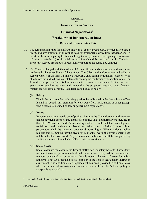#### **APPENDIX TO INFORMATION TO BIDDERS**

#### **Financial Negotiations6**

#### **Breakdown of Remuneration Rates**

#### **1. Review of Remuneration Rates**

- 1.1 The remuneration rates for staff are made up of salary, social costs, overheads, fee that is profit, and any premium or allowance paid for assignments away from headquarters. To assist the firm in preparing for financial negotiations, a sample form giving a breakdown of rates is attached (no financial information should be included in the Technical Proposal). Agreed breakdown sheets shall form part of the negotiated contract.
- 1.2 The Client is charged with the custody of African Union funds and is expected to exercise prudence in the expenditure of these funds. The Client is therefore concerned with the reasonableness of the firm's Financial Proposal, and, during negotiations, expects to be able to review audited financial statements backing up the firm's remuneration rates. The firm shall be prepared to disclose such audited financial statements for the last three years, to substantiate its rates, and accept that the proposed rates and other financial matters are subject to scrutiny. Rate details are discussed below.

#### **(i) Salary**

This is the gross regular cash salary paid to the individual in the firm's home office. It shall not contain any premium for work away from headquarters or bonus (except where these are included by law or government regulations).

#### **(ii) Bonus**

Bonuses are normally paid out of profits. Because the Client does not wish to make double payments for the same item, staff bonuses shall not normally be included in the rates. Where the Bidder's accounting system is such that the percentages of social costs and overheads are based on total revenue, including bonuses, those percentages shall be adjusted downward accordingly. Where national policy requires that 13 months' pay be given for 12 months' work, the profit element need not be adjusted downward. Any discussions on bonuses shall be supported by audited documentation, which shall be treated as confidential.

#### **(iii) Social Costs**

Social costs are the costs to the firm of staff's non-monetary benefits. These items include, *inter-alia*, pension, medical and life insurance costs, and the cost of a staff member being sick or on vacation. In this regard, the cost of leave for public holidays is not an acceptable social cost nor is the cost of leave taken during an assignment if no additional staff replacement has been provided. Additional leave taken at the end of an assignment in accordance with the firm's leave policy is acceptable as a social cost.

<sup>&</sup>lt;sup>6</sup> Used under Quality-Based Selection, Selection Based on Qualifications, and Single-Source Selection.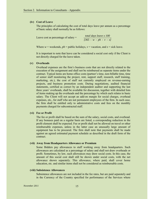#### **(iv) Cost of Leave**

The principles of calculating the cost of total days leave per annum as a percentage of basic salary shall normally be as follows:

| Leave cost as percentage of salary $=$ | total days leave x 100   |  |
|----------------------------------------|--------------------------|--|
|                                        | $[365 - w - ph - v - s]$ |  |

Where  $w$  = weekends,  $ph$  = public holidays,  $v$  = vacation, and  $s$  = sick leave.

It is important to note that leave can be considered a social cost only if the Client is not directly charged for the leave taken.

#### **(v) Overheads**

Overhead expenses are the firm's business costs that are not directly related to the execution of the assignment and shall not be reimbursed as separate items under the contract. Typical items are home office costs (partner's time, non-billable time, time of senior staff monitoring the project, rent, support staff, research, staff training, marketing, etc.), the cost of staff not currently employed on revenue-earning projects, and business promotion costs. During negotiations, audited financial statements, certified as correct by an independent auditor and supporting the last three years' overheads, shall be available for discussion, together with detailed lists of items making up the overheads and the percentage by which each relates to basic salary. The Client will not accept an add-on margin for social charges, overhead expenses, etc., for staff who are not permanent employees of the firm. In such case, the firm shall be entitled only to administrative costs and fees on the monthly payments charged for subcontracted staff.

#### **(vi) Fee or Profit**

The fee or profit shall be based on the sum of the salary, social costs, and overhead. If any bonuses paid on a regular basis are listed, a corresponding reduction in the profit element shall be expected. Fee or profit shall not be allowed on travel or other reimbursable expenses, unless in the latter case an unusually large amount of equipment has to be procured. The firm shall note that payments shall be made against an agreed estimated payment schedule as described in the draft form of the contract.

#### **(vii) Away from Headquarters Allowance or Premium**

Some Bidders pay allowances to staff working away from headquarters. Such allowances are calculated as a percentage of salary and shall not draw overheads or profit. Sometimes, by law, such allowances may draw social costs. In this case, the amount of this social cost shall still be shown under social costs, with the net allowance shown separately. This allowance, where paid, shall cover home education, etc. and similar items shall not be considered as reimbursable costs.

#### **(viii) Subsistence Allowances**

Subsistence allowances are not included in the fee rates, but are paid separately and in the Currency of the Country specified for performance of the Services where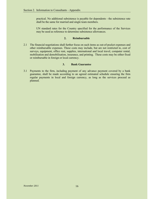practical. No additional subsistence is payable for dependents - the subsistence rate shall be the same for married and single team members.

UN standard rates for the Country specified for the performance of the Services may be used as reference to determine subsistence allowances.

#### **2. Reimbursable**

2.1 The financial negotiations shall further focus on such items as out-of-pocket expenses and other reimbursable expenses. These costs may include, but are not restricted to, cost of surveys, equipment, office rent, supplies, international and local travel, computer rental, mobilisation and demobilisation, insurance, and printing. These costs may be either fixed or reimbursable in foreign or local currency.

#### **3. Bank Guarantee**

3.1 Payments to the firm, including payment of any advance payment covered by a bank guarantee, shall be made according to an agreed estimated schedule ensuring the firm regular payments in local and foreign currency, as long as the services proceed as planned.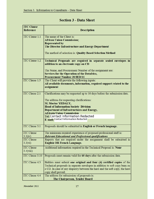#### **ITC Clause Reference Description ITC Clause 1.1** The name of the Client is: **African Union Commission: Represented by** The Director Infrastructure and Energy Department The method of selection is: Quality Based Selection Method **ITC Clause 1.2** Technical Proposals are required in separate sealed envelopes in addition to an electronic copy on CD The Name, and Procurement Number of the assignment are: **Services for the Operation of the Dotafrica, Procurement Number 30/IED/11** The Client will provide the following inputs: **ITC Clause 1.5** All available documents, information, required support related to the assignment **ITC Clause 2.1** Clarifications may be requested up to 10 days before the submission date. The address for requesting clarifications: M. Moctar YEDALY, **Head of Information Society Division Department of Infrastructures and Energy, Africain Union Commission Tel: Contact Information Redacted** E-mail: Contact Information Redacted **ITC** Clause 3.1 Proposals should be submitted in English or French language. **ITC Clause** The minimum required experience of proposed professional staff is:  $3.3(iv)$ **Relevant Educational and Professional qualifications ITC** Clause Reports that are required under the assignment shall be submitted in **English OR French Language.**  $3.3(vi)$ **ITC Clause** Additional information required in the Technical Proposal is: None  $3.4(viii)$ **ITC Clause 3.10** Proposals must remain valid for 60 days after the submission date. **ITC Clause 4.3** Bidders must submit one original and four (4) certified copies of the Technical proposals in separate envelopes in addition to soft copy burn on a CD. In case of any disparity between the hard and the soft copy, the hard copy shall prevail. **ITC Clause 4.4** The address for submission of proposals is: The Chairperson, Tender Board

#### **Section 3 - Data Sheet**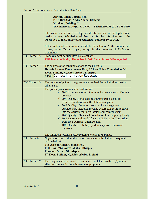|                       | <b>African Union Commission,</b>                                                  |
|-----------------------|-----------------------------------------------------------------------------------|
|                       | P. O. Box 3243, Addis Ababa, Ethiopia                                             |
|                       | 3rd Floor, Building C,                                                            |
|                       | Telephone+251 (0)11-551 7700 Facsimile+251 (0)11-551 0430                         |
|                       | Information on the outer envelope should also include: on the top left side,      |
|                       | boldly written; Submission of Proposal for the Services for<br>the                |
|                       | <b>Operation of the Dotafrica, Procurement Number 30/IED/11.</b>                  |
|                       |                                                                                   |
|                       | In the middle of the envelope should be the address. At the bottom right          |
|                       | corner; write "Do not open, except in the presence of Evaluation                  |
|                       | Committee"                                                                        |
| <b>ITC Clause 4.5</b> | Proposals must be submitted no later than:                                        |
|                       | 1500 hours on Friday, December 8, 2011 Late bid would be rejected.                |
|                       |                                                                                   |
| <b>ITC Clause 5.1</b> | The addresses for communications to the Client is:                                |
|                       | Hussain Usman, Procurement Unit, African Union Commission, 3rd                    |
|                       | Floor, Building C, Addis Ababa, Ethiopia.<br>e-mail: Contact Information Redacted |
|                       |                                                                                   |
| <b>ITC Clause 5.3</b> | The number of points to be given under each of the technical evaluation           |
|                       | criteria are:                                                                     |
|                       | The points given to evaluation criteria are:                                      |
|                       | $\checkmark$ 20% Experience of institution in the management of similar           |
|                       | projects.                                                                         |
|                       | $\checkmark$ 20% Quality of proposal in addressing the technical                  |
|                       | requirements to operate the dotafrica registry.                                   |
|                       | $\checkmark$ 20% Quality of solution proposed for management,                     |
|                       | business case including revenue generation, re-investment                         |
|                       | into the African continent, sustainability mechanism.                             |
|                       | $\checkmark$ 20% Quality of financial Soundness of the Applying Entity            |
|                       | $\checkmark$ 10% Representation of African ccTLDs in the Consortium               |
|                       | from the 5 African Union Regions                                                  |
|                       | $\checkmark$ 10% Quality of Strategic partnerships with renowned                  |
|                       | registries                                                                        |
|                       | The minimum technical score required to pass is 75 points.                        |
| ITC Clause 6.1        | Negotiations and further discussions with successful bidder, if required          |
|                       | will be held at:                                                                  |
|                       | The African Union Commission,                                                     |
|                       | P. O. Box 3243, Addis Ababa, Ethiopia                                             |
|                       | <b>Roosevelt Street, Old Airport</b>                                              |
|                       | 3 <sup>rd</sup> Floor, Building C, Addis Ababa, Ethiopia                          |
|                       |                                                                                   |
| <b>ITC Clause 7.2</b> | The assignment is expected to commence not later than three (3) weeks             |
|                       | after the dateline for the submission of proposals                                |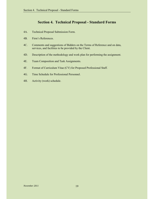#### **Section 4. Technical Proposal - Standard Forms**

- 4A. Technical Proposal Submission Form.
- 4B. Firm's References.
- 4C. Comments and suggestions of Bidders on the Terms of Reference and on data, services, and facilities to be provided by the Client.
- 4D. Description of the methodology and work plan for performing the assignment.
- 4E. Team Composition and Task Assignments.
- 4F. Format of Curriculum Vitae (CV) for Proposed Professional Staff.
- 4G. Time Schedule for Professional Personnel.
- 4H. Activity (work) schedule.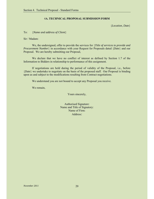#### 4**A. TECHNICAL PROPOSAL SUBMISSION FORM**

{*Location, Date*}

To: {*Name and address of Client*}

Sir / Madam:

We, the undersigned, offer to provide the services for {*Title of services to provide and Procurement Number*} in accordance with your Request for Proposals dated {*Date*} and our Proposal. We are hereby submitting our Proposal,

We declare that we have no conflict of interest as defined by Section 1.7 of the Information to Bidders in relationship to performance of this assignment.

If negotiations are held during the period of validity of the Proposal, i.e., before {*Date*} we undertake to negotiate on the basis of the proposed staff. Our Proposal is binding upon us and subject to the modifications resulting from Contract negotiations.

We understand you are not bound to accept any Proposal you receive.

We remain,

Yours sincerely,

| <b>Authorised Signature:</b> |
|------------------------------|
| Name and Title of Signatory: |
| Name of Firm:                |
| Address:                     |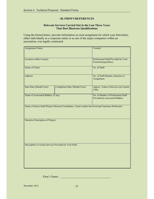#### 4**B. FIRM'S REFERENCES**

#### **Relevant Services Carried Out in the Last Three Years That Best Illustrate Qualifications**

Using the format below, provide information on each assignment for which your firm/entity, either individually as a corporate entity or as one of the major companies within an association, was legally contracted.

| Assignment Name:                                       |                                                                                                    | Country:                                                               |  |
|--------------------------------------------------------|----------------------------------------------------------------------------------------------------|------------------------------------------------------------------------|--|
| Location within Country:                               |                                                                                                    | Professional Staff Provided by Your<br>Firm/Entity(profiles):          |  |
| Name of Client:                                        |                                                                                                    | No. of Staff:                                                          |  |
| Address:                                               |                                                                                                    | No. of Staff-Months; Duration of<br>Assignment:                        |  |
| Start Date (Month/Year):                               | Completion Date (Month/Year):                                                                      | Approx. Value of Services (in Current<br><b>US\$</b> ):                |  |
| Name of Associated Bidders, If Any:                    |                                                                                                    | No. of Months of Professional Staff<br>Provided by associated Bidders: |  |
|                                                        | Name of Senior Staff (Project Director/Coordinator, Team Leader) Involved and Functions Performed: |                                                                        |  |
| Narrative Description of Project:                      |                                                                                                    |                                                                        |  |
| Description of Actual Services Provided by Your Staff: |                                                                                                    |                                                                        |  |

Firm's Name:

*November 2011* 21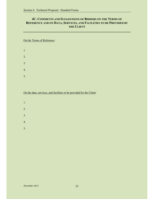#### **4C. COMMENTS AND SUGGESTIONS OF BIDDERS ON THE TERMS OF REFERENCE AND ON DATA, SERVICES, AND FACILITIES TO BE PROVIDED BY THE CLIENT**

On the Terms of Reference:

| $\mathbf{1}$ .   |  |  |  |
|------------------|--|--|--|
| 2.               |  |  |  |
| 3.               |  |  |  |
| $\overline{4}$ . |  |  |  |
| 5.               |  |  |  |

On the data, services, and facilities to be provided by the Client:

- 1.
- 2.
- 
- 3.
- 4.
- 5.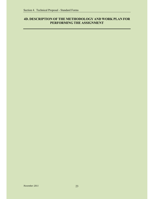#### **4D. DESCRIPTION OF THE METHODOLOGY AND WORK PLAN FOR PERFORMING THE ASSIGNMENT**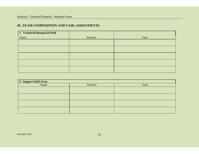#### **4E. TEAM COMPOSITION AND TASK ASSIGNMENTS**

| 1. Technical/Managerial Staff |          |      |
|-------------------------------|----------|------|
| Name                          | Position | Task |
|                               |          |      |
|                               |          |      |
|                               |          |      |
|                               |          |      |
|                               |          |      |
|                               |          |      |

| 2. Support Staff, if any |          |      |  |
|--------------------------|----------|------|--|
| Name                     | Position | Task |  |
|                          |          |      |  |
|                          |          |      |  |
|                          |          |      |  |
|                          |          |      |  |
|                          |          |      |  |
|                          |          |      |  |
|                          |          |      |  |
|                          |          |      |  |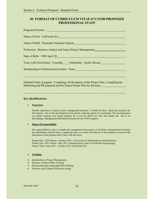#### **4F. FORMAT OF CURRICULUM VITAE (CV) FOR PROPOSED PROFESSIONAL STAFF**

| Name of Firm: UniForum SA Name of Firm: UniForum SA         |
|-------------------------------------------------------------|
|                                                             |
| Profession: Business Analyst and Junior Project Management  |
| Date of Birth: 1989 April 20                                |
| Years with Firm/Entity: 9 months Nationality: South African |
| Membership in Professional Societies: None                  |
|                                                             |
|                                                             |

Detailed Tasks Assigned: Compiling All the phases of the Project Plan, Compiling the Marketing and PR proposal and the Project Scope Plan for the team.

#### **Key Qualifications:**

#### **•** Experience

9moths experience in junior project management position. I worked on three particular projects, the first project was on the development of an electric ordering system in a restaurant. The second project was about creating web based template for a non for profit law firm and finally the last is on developing a Management Information System for the COZA registry.

#### **• Degree Of responsibility**

My responsibilities were to compile the management documents, to facilitate communication between the stakeholders and the team, to guide the team, to oversee the delivery of the deadlines of each of the milestones in the projects and to liase with the client.

Project One: 2010 March –October 2010 (University Of Johannesburg-Auckland Park) Project Two: 2011 March –May 2011 (Johannesburg Centre For Software Engineering) Project Three: June 2011 – October 2011 (UniForum SA)

#### **•** Training:

- Introduction to Project Management
- Business Analysis Skills Training
- Relationship and Leadership Skills building
- Diversity and Cultural Differences traing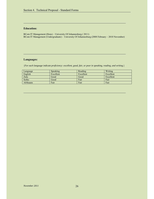#### **Education:**

BCom IT Management (Hons) – University Of Johannesburg ( 2011) BCom IT Management (Undergraduate) - University Of Johannesburg (2008 February – 2010 November)

#### **Languages:**

{*For each language indicate proficiency: excellent, good, fair, or poor in speaking, reading, and writing.*}

| Language         | <b>Speaking</b> | Reading   | Writing   |
|------------------|-----------------|-----------|-----------|
| English          | Excellent       | Excellent | Excellent |
| Zulu             | Good            | Good      | Excellent |
| Sotho            | Good            | Fair      | Fair      |
| <b>Afrikaans</b> | Fair            | Fair      | Fair      |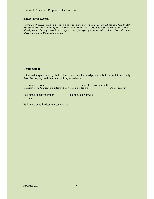#### **Employment Record:**

{*Starting with present position, list in reverse order every employment held. List all positions held by staff member since graduation, giving dates, names of employing organizations, titles of positions held, and locations of assignments. For experience in last ten years, also give types of activities performed and client references, where appropriate. Use about two pages.*}

#### **Certification:**

I, the undersigned, certify that to the best of my knowledge and belief, these data correctly describe me, my qualifications, and my experience.

| Nomonde Ngxola                                                        | Date: 17 November 2011 |                |
|-----------------------------------------------------------------------|------------------------|----------------|
| {Signature of staff member and authorized representative of the firm} |                        | Day/Month/Year |

Full name of staff member: Nomonde Nyameka Ngxola\_\_\_\_\_\_\_\_\_\_\_\_\_\_\_\_\_\_\_\_\_\_\_\_\_\_\_

Full name of authorised representative: \_\_\_\_\_\_\_\_\_\_\_\_\_\_\_\_\_\_\_\_\_\_\_\_\_\_\_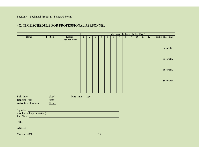#### **4G. TIME SCHEDULE FOR PROFESSIONAL PERSONNEL**

|                                                                                                                                                                                                                                | Months (in the Form of a Bar Chart) |                           |  |                |                |                |   |   |                 |         |   |    |    |    |                  |
|--------------------------------------------------------------------------------------------------------------------------------------------------------------------------------------------------------------------------------|-------------------------------------|---------------------------|--|----------------|----------------|----------------|---|---|-----------------|---------|---|----|----|----|------------------|
| Name                                                                                                                                                                                                                           | Position                            | Reports<br>Due/Activities |  | $\overline{2}$ | $\overline{3}$ | $\overline{4}$ | 5 | 6 | $7\overline{ }$ | $\,8\,$ | 9 | 10 | 11 | 12 | Number of Months |
|                                                                                                                                                                                                                                |                                     |                           |  |                |                |                |   |   |                 |         |   |    |    |    | Subtotal $(1)$   |
|                                                                                                                                                                                                                                |                                     |                           |  |                |                |                |   |   |                 |         |   |    |    |    | Subtotal (2)     |
|                                                                                                                                                                                                                                |                                     |                           |  |                |                |                |   |   |                 |         |   |    |    |    | Subtotal $(3)$   |
|                                                                                                                                                                                                                                |                                     |                           |  |                |                |                |   |   |                 |         |   |    |    |    | Subtotal (4)     |
|                                                                                                                                                                                                                                |                                     |                           |  |                |                |                |   |   |                 |         |   |    |    |    |                  |
| Full-time:<br>Reports Due:<br><b>Activities Duration:</b>                                                                                                                                                                      | $\{key\}$<br>$\{key\}$<br>$\{key\}$ | Part-time: {key}          |  |                |                |                |   |   |                 |         |   |    |    |    |                  |
| Signature:<br>{Authorised representative}<br>Full Name: Name and South Art and South Art and South Art and South Art and South Art and South Art and South                                                                     |                                     |                           |  |                |                |                |   |   |                 |         |   |    |    |    |                  |
| Title: The contract of the contract of the contract of the contract of the contract of the contract of the contract of the contract of the contract of the contract of the contract of the contract of the contract of the con |                                     |                           |  |                |                |                |   |   |                 |         |   |    |    |    |                  |
| Address: No. 2016. The Commission of the Commission of the Commission of the Commission of the Commission of the Commission of the Commission of the Commission of the Commission of the Commission of the Commission of the C |                                     |                           |  |                |                |                |   |   |                 |         |   |    |    |    |                  |
| November 2011                                                                                                                                                                                                                  |                                     |                           |  |                |                | 28             |   |   |                 |         |   |    |    |    |                  |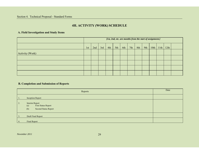#### Section 4. Technical Proposal - Standard Forms

### **4H. ACTIVITY (WORK) SCHEDULE**

#### **A. Field Investigation and Study Items**

|                 | [1st, 2nd, etc. are months from the start of assignment.] |     |     |     |     |     |     |     |     |  |               |      |  |
|-----------------|-----------------------------------------------------------|-----|-----|-----|-----|-----|-----|-----|-----|--|---------------|------|--|
|                 | 1 <sub>st</sub>                                           | 2nd | 3rd | 4th | 5th | 6th | 7th | 8th | 9th |  | $10th$   11th | 12th |  |
| Activity (Work) |                                                           |     |     |     |     |     |     |     |     |  |               |      |  |
|                 |                                                           |     |     |     |     |     |     |     |     |  |               |      |  |
|                 |                                                           |     |     |     |     |     |     |     |     |  |               |      |  |
|                 |                                                           |     |     |     |     |     |     |     |     |  |               |      |  |
|                 |                                                           |     |     |     |     |     |     |     |     |  |               |      |  |

#### **B. Completion and Submission of Reports**

|                  | Date                                                                               |  |
|------------------|------------------------------------------------------------------------------------|--|
| 1.               | <b>Inception Report</b>                                                            |  |
| 2.               | Interim Report<br>First Status Report<br>(a)<br><b>Second Status Report</b><br>(b) |  |
| $\overline{3}$ . | Draft Final Report                                                                 |  |
| 4.               | Final Report                                                                       |  |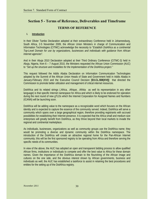### **Section 5 - Terms of Reference, Deliverables and Timeframe**

#### **TERMS OF REFERENCE**

#### **I. Introduction**

In their Olivier Tambo Declaration adopted at their extraordinary Conference held in Johannesburg, South Africa, 2-5 November 2009, the African Union Ministers in charge of Communication and Information Technologies (CITMC) acknowledge the necessity to "*Establish DotAfrica as a continental Top-Level Domain for use by organizations, businesses and individuals with guidance from African Internet agencies*".

And in their Abuja 2010 Declaration adopted at their Third Ordinary Conference (CITMC-3) held in Abuja, Nigeria, from 6 – 7 August 2010, the Ministers requested the African Union Commission (AUC) to '*'Set up the structure and modalities for the Implementation of the DotAfrica project.''*

This request followed the Addis Ababa Declaration on Information Communication Technologies adopted by the Summit of the African Union Heads of State and Government held in Addis Ababa in January-February 2010 and the Executive Council Decision [**EX.CL.559(XVI)]** that directed the Commission to promote better utilization and management of critical internet resources.

DotAfrica and its related strings (.Africa, .Afrique, .Afrikia as well its representation in any other language) is that specific Internet namespace for Africa and which is likely to be endorsed for operation during the next round of new gTLDs which the Internet Corporation for Assigned Names and Numbers (ICANN) will be launching soon.

DotAfrica will be adding value to the namespace as a recognizable word which focuses on the African identity and is expected to capture the essence of the community served. Indeed, DotAfrica will serve a community which spans over a large geographical region, therefore providing registrants with accrued possibilities for establishing their Internet presence. It is expected that the Africa small and medium size enterprises will greatly benefit from DotAfrica, as they thrive beyond their local markets to invade the regional and continental marketplace.

As individuals, businesses, organizations as well as community groups use the DotAfrica name; they would be promoting a diverse and dynamic community within the DotAfrica namespace. The introduction of the DotAfrica will create an attractive regional home for the Pan-African Internet community; this will be the first sponsored registry to be operating from Africa and therefore serving the specific needs of its communities.

In view of the above, the AUC has adopted an open and transparent bidding process to allow qualified African firms, institutions or individuals to compete and offer the best value to Africa for these domain names. Given the importance of the DotAfrica domain to the flourishing of the African image and cultures on the one side, and the obvious interest shown by African governments, business and individuals as well, the AUC has established a taskforce to assist in retaining the best procedures and entities for the setting up of the DotAfrica registry.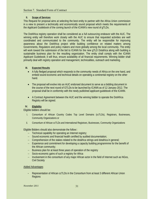#### **II. Scope of Services**

This Request for proposal aims at selecting the best entity to partner with the Africa Union commission in a view to present a technically and economically sound proposal which meets the requirements of the Applicant Guidebook of the coming launch of the ICANN's new round of gTLDs.

The DotAfrica registry operation shall be considered as a full outsourcing endeavor with the AUC. The winning entity will therefore work closely with the AUC to ensure that requested activities are well coordinated and communicated to the community. The entity will be responsible for improving awareness about the DotAfrica project while building confidence on related matters among Governments, Regulators and policy makers and more globally among the local community. The entity will work toward the submission of the bid to ICANN for the new gTLD Dotafrica along with building a sustainable business plan for the resulting organization. The entity shall comply with the ICANN Applicant Guidebook; it will thus, ensure availability of all financial requirements. Winning bidder shall primarily deal with registry operation and management, technicalities, outreach and marketing.

#### **III. Expected Results**

- A fully fledged proposal which responds to the community needs of Africa on the one hand, and embed sound economic and technical details on operating a continental registry on the other hand.
- The proposal will evolve into an AUC endorsed document to serve as a bidding document in the course of the next round of GTLDs to be launched by ICANN as of 12 January 2012. The proposal shall be in conformity with the newly published applicant guidebook of the ICANN.
- A Contract Agreement between the AUC and the winning bidder to operate the DotAfrica Registry will be signed.

#### **IV. Eligibility**

Eligible bidders should be:

- i. Consortium of African Country Codes Top Level Domains (ccTLDs), Registrars, Businesses, Community Organizations or
- ii. Consortium of African ccTLDs and International Registrars, Businesses, Community Organizations

Eligible Bidders should also demonstrate the follow::

- Technical capability for operating an Internet registry;
- Sound economic and financial health certified by audited documentation;
- Comprehension of the stakes related to the dotafrica strings and dotafrica in general;
- Experience and commitment for developing a capacity building programmme for the benefit of the African community;
- Business plan for at least three years of operation of the registry
- Socio-economic gains of such a registry for Africa
- Involvement in the consortium of any major African actor in the field of Internet such as NGos, Civil Society

#### Added Advantages

- Representation of African ccTLDs in the Consortium from at least 3 different African Union **Regions**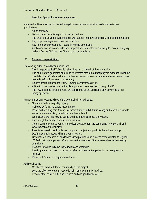#### **V. Selection, Application submission process**

Interested entities must submit the following documentation / information to demonstrate their qualifications;

- Act of company
- List and details of existing and projected partners
- The proof of involvement /partnership with at least three African ccTLD from different regions
- Key project managers and their personal Cvs
- Key references (Proven track record in registry operations)
- Application documentation with their proposal and best offer for operating the dotafrica registry on behalf of the AUC and the African community at large

#### **VI. Roles and responsibilities**

The winning bidder should bear in mind that:

- $-$  This is a geographical TLD which should be run on behalf of the community;
- Part of the profit generated should be re-invested through a grant program managed under the mandate of AU (Bidders will propose the mechanism for re-investment- such mechanism could be the Dotafrica foundation or trust fund);
- Bidders should propose the Policy Development Process (PDP);
- All the information disclosed in the client proposal becomes the property of AUC.
- The AUC bids and tendering rules are considered as the applicable Law governing all the biding operation.

Primary duties and responsibilities of the potential winner will be to:

- Operate a first class quality registry
- Make policy for name space (governance)
- Relate with existing core African Internet institutions Aftld, Afrnic, Afnog and others in a view to enhance internetworking capabilities on the continent;
- Work closely with the AUC to define and implement Business plan/Model.
- Facilitate global outreach about .africa initiative.
- Clearly communicate DotAfrica and collect feedback from the community (Private, Civil and Government) on the initiative.
- Proactively develop and implement programs, project and products that will encourage DotAfrica domain usage within the Africa region.
- Conduct Field research on challenges, good practices and success stories related to regional gTLD domain management. Communicate the outcome of these researches to the steering committee.
- Promote DotAfrica Initiative in the region and worldwide.
- Identify partners and lead collaboration effort with relevant organization to strengthen the initiative.
- Represent DotAfrica on appropriate forum.

#### Additional Duties

- Collaborate with the Internet community on the project.
- Lead the effort to create an active domain name community in Africa
- Perform other related duties as required and assigned by the AUC